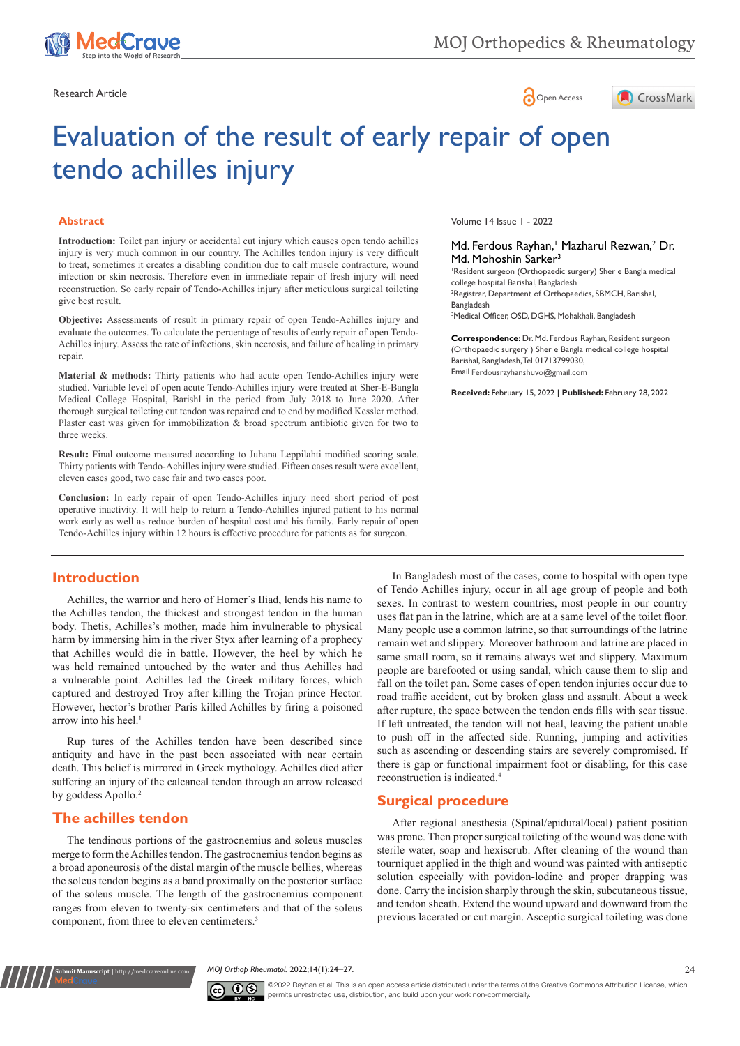





# Evaluation of the result of early repair of open tendo achilles injury

#### **Abstract**

**Introduction:** Toilet pan injury or accidental cut injury which causes open tendo achilles injury is very much common in our country. The Achilles tendon injury is very difficult to treat, sometimes it creates a disabling condition due to calf muscle contracture, wound infection or skin necrosis. Therefore even in immediate repair of fresh injury will need reconstruction. So early repair of Tendo-Achilles injury after meticulous surgical toileting give best result.

**Objective:** Assessments of result in primary repair of open Tendo-Achilles injury and evaluate the outcomes. To calculate the percentage of results of early repair of open Tendo-Achilles injury. Assess the rate of infections, skin necrosis, and failure of healing in primary repair.

**Material & methods:** Thirty patients who had acute open Tendo-Achilles injury were studied. Variable level of open acute Tendo-Achilles injury were treated at Sher-E-Bangla Medical College Hospital, Barishl in the period from July 2018 to June 2020. After thorough surgical toileting cut tendon was repaired end to end by modified Kessler method. Plaster cast was given for immobilization & broad spectrum antibiotic given for two to three weeks.

**Result:** Final outcome measured according to Juhana Leppilahti modified scoring scale. Thirty patients with Tendo-Achilles injury were studied. Fifteen cases result were excellent, eleven cases good, two case fair and two cases poor.

**Conclusion:** In early repair of open Tendo-Achilles injury need short period of post operative inactivity. It will help to return a Tendo-Achilles injured patient to his normal work early as well as reduce burden of hospital cost and his family. Early repair of open Tendo-Achilles injury within 12 hours is effective procedure for patients as for surgeon.

Volume 14 Issue 1 - 2022

#### Md. Ferdous Rayhan,<sup>1</sup> Mazharul Rezwan,<sup>2</sup> Dr. Md. Mohoshin Sarker<sup>3</sup>

1 Resident surgeon (Orthopaedic surgery) Sher e Bangla medical college hospital Barishal, Bangladesh 2 Registrar, Department of Orthopaedics, SBMCH, Barishal, Bangladesh 3 Medical Officer, OSD, DGHS, Mohakhali, Bangladesh

**Correspondence:** Dr. Md. Ferdous Rayhan, Resident surgeon (Orthopaedic surgery ) Sher e Bangla medical college hospital Barishal, Bangladesh, Tel 01713799030, Email Ferdousrayhanshuvo@gmail.com

**Received:** February 15, 2022 | **Published:** February 28, 2022

#### **Introduction**

Achilles, the warrior and hero of Homer's Iliad, lends his name to the Achilles tendon, the thickest and strongest tendon in the human body. Thetis, Achilles's mother, made him invulnerable to physical harm by immersing him in the river Styx after learning of a prophecy that Achilles would die in battle. However, the heel by which he was held remained untouched by the water and thus Achilles had a vulnerable point. Achilles led the Greek military forces, which captured and destroyed Troy after killing the Trojan prince Hector. However, hector's brother Paris killed Achilles by firing a poisoned arrow into his heel.<sup>1</sup>

Rup tures of the Achilles tendon have been described since antiquity and have in the past been associated with near certain death. This belief is mirrored in Greek mythology. Achilles died after suffering an injury of the calcaneal tendon through an arrow released by goddess Apollo.<sup>2</sup>

#### **The achilles tendon**

**it Manuscript** | http://medcraveonline.

The tendinous portions of the gastrocnemius and soleus muscles merge to form the Achilles tendon. The gastrocnemius tendon begins as a broad aponeurosis of the distal margin of the muscle bellies, whereas the soleus tendon begins as a band proximally on the posterior surface of the soleus muscle. The length of the gastrocnemius component ranges from eleven to twenty-six centimeters and that of the soleus component, from three to eleven centimeters.<sup>3</sup>

In Bangladesh most of the cases, come to hospital with open type of Tendo Achilles injury, occur in all age group of people and both sexes. In contrast to western countries, most people in our country uses flat pan in the latrine, which are at a same level of the toilet floor. Many people use a common latrine, so that surroundings of the latrine remain wet and slippery. Moreover bathroom and latrine are placed in same small room, so it remains always wet and slippery. Maximum people are barefooted or using sandal, which cause them to slip and fall on the toilet pan. Some cases of open tendon injuries occur due to road traffic accident, cut by broken glass and assault. About a week after rupture, the space between the tendon ends fills with scar tissue. If left untreated, the tendon will not heal, leaving the patient unable to push off in the affected side. Running, jumping and activities such as ascending or descending stairs are severely compromised. If there is gap or functional impairment foot or disabling, for this case reconstruction is indicated.4

#### **Surgical procedure**

After regional anesthesia (Spinal/epidural/local) patient position was prone. Then proper surgical toileting of the wound was done with sterile water, soap and hexiscrub. After cleaning of the wound than tourniquet applied in the thigh and wound was painted with antiseptic solution especially with povidon-lodine and proper drapping was done. Carry the incision sharply through the skin, subcutaneous tissue, and tendon sheath. Extend the wound upward and downward from the previous lacerated or cut margin. Asceptic surgical toileting was done

*MOJ Orthop Rheumatol.* 2022;14(1):24‒27. 24



©2022 Rayhan et al. This is an open access article distributed under the terms of the [Creative Commons Attribution License,](https://creativecommons.org/licenses/by-nc/4.0/) which permits unrestricted use, distribution, and build upon your work non-commercially.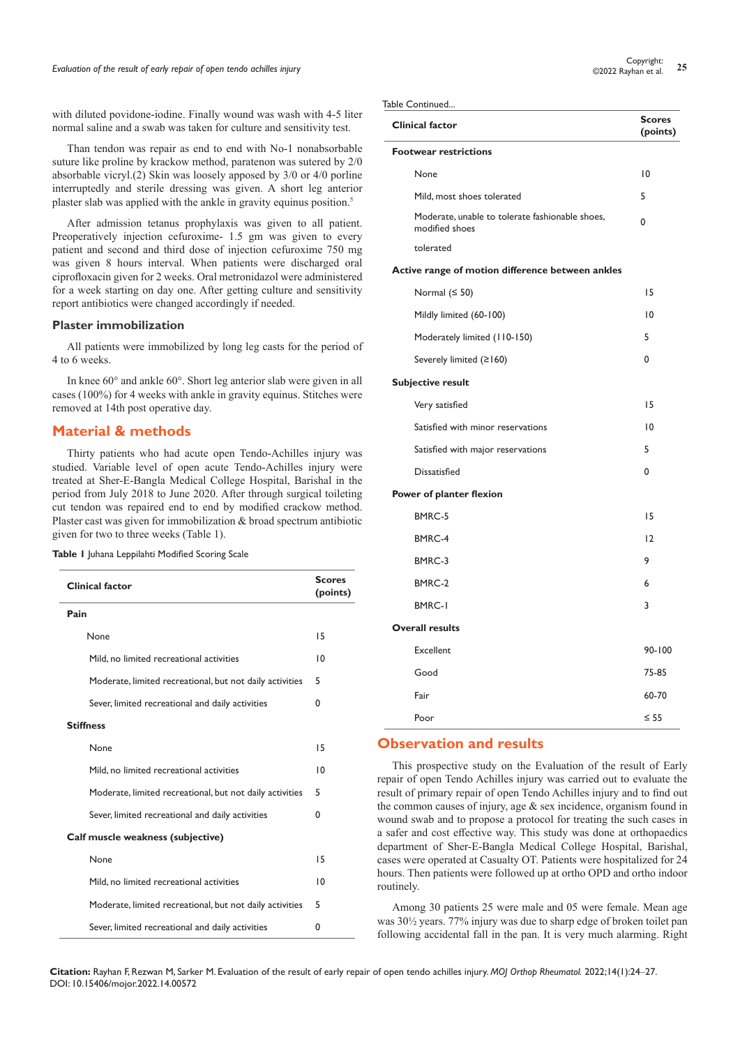with diluted povidone-iodine. Finally wound was wash with 4-5 liter normal saline and a swab was taken for culture and sensitivity test.

Than tendon was repair as end to end with No-1 nonabsorbable suture like proline by krackow method, paratenon was sutered by 2/0 absorbable vicryl.(2) Skin was loosely apposed by 3/0 or 4/0 porline interruptedly and sterile dressing was given. A short leg anterior plaster slab was applied with the ankle in gravity equinus position.5

After admission tetanus prophylaxis was given to all patient. Preoperatively injection cefuroxime- 1.5 gm was given to every patient and second and third dose of injection cefuroxime 750 mg was given 8 hours interval. When patients were discharged oral ciprofloxacin given for 2 weeks. Oral metronidazol were administered for a week starting on day one. After getting culture and sensitivity report antibiotics were changed accordingly if needed.

#### **Plaster immobilization**

All patients were immobilized by long leg casts for the period of 4 to 6 weeks.

In knee 60° and ankle 60°. Short leg anterior slab were given in all cases (100%) for 4 weeks with ankle in gravity equinus. Stitches were removed at 14th post operative day.

#### **Material & methods**

Thirty patients who had acute open Tendo-Achilles injury was studied. Variable level of open acute Tendo-Achilles injury were treated at Sher-E-Bangla Medical College Hospital, Barishal in the period from July 2018 to June 2020. After through surgical toileting cut tendon was repaired end to end by modified crackow method. Plaster cast was given for immobilization & broad spectrum antibiotic given for two to three weeks (Table 1).

|  |  |  | Table I Juhana Leppilahti Modified Scoring Scale |  |  |  |
|--|--|--|--------------------------------------------------|--|--|--|
|--|--|--|--------------------------------------------------|--|--|--|

| <b>Clinical factor</b>                                   |    |  |  |  |
|----------------------------------------------------------|----|--|--|--|
| Pain                                                     |    |  |  |  |
| None                                                     | 15 |  |  |  |
| Mild, no limited recreational activities                 | 10 |  |  |  |
| Moderate, limited recreational, but not daily activities | 5  |  |  |  |
| Sever, limited recreational and daily activities         | 0  |  |  |  |
| <b>Stiffness</b>                                         |    |  |  |  |
| None                                                     | 15 |  |  |  |
| Mild, no limited recreational activities                 | 10 |  |  |  |
| Moderate, limited recreational, but not daily activities | 5  |  |  |  |
| Sever, limited recreational and daily activities         | 0  |  |  |  |
| Calf muscle weakness (subjective)                        |    |  |  |  |
| None                                                     | 15 |  |  |  |
| Mild, no limited recreational activities                 | 10 |  |  |  |
| Moderate, limited recreational, but not daily activities | 5  |  |  |  |
| Sever, limited recreational and daily activities         | 0  |  |  |  |

Table Continued.

| <b>Clinical factor</b>                                            | <b>Scores</b><br>(points) |
|-------------------------------------------------------------------|---------------------------|
| <b>Footwear restrictions</b>                                      |                           |
| None                                                              | $\overline{0}$            |
| Mild, most shoes tolerated                                        | 5                         |
| Moderate, unable to tolerate fashionable shoes,<br>modified shoes | $\Omega$                  |
| tolerated                                                         |                           |
| Active range of motion difference between ankles                  |                           |
| Normal $(550)$                                                    | 15                        |
| Mildly limited (60-100)                                           | 10                        |
| Moderately limited (110-150)                                      | 5                         |
| Severely limited (≥160)                                           | 0                         |
| <b>Subjective result</b>                                          |                           |
| Very satisfied                                                    | 15                        |
| Satisfied with minor reservations                                 | 10                        |
| Satisfied with major reservations                                 | 5                         |
| <b>Dissatisfied</b>                                               | 0                         |
| Power of planter flexion                                          |                           |
| BMRC-5                                                            | 15                        |
| BMRC-4                                                            | 12                        |
| BMRC-3                                                            | 9                         |
| BMRC-2                                                            | 6                         |
| <b>BMRC-I</b>                                                     | 3                         |
| <b>Overall results</b>                                            |                           |
| <b>Excellent</b>                                                  | $90 - 100$                |
| Good                                                              | 75-85                     |
| Fair                                                              | 60-70                     |
| Poor                                                              | $\leq$ 55                 |

### **Observation and results**

This prospective study on the Evaluation of the result of Early repair of open Tendo Achilles injury was carried out to evaluate the result of primary repair of open Tendo Achilles injury and to find out the common causes of injury, age & sex incidence, organism found in wound swab and to propose a protocol for treating the such cases in a safer and cost effective way. This study was done at orthopaedics department of Sher-E-Bangla Medical College Hospital, Barishal, cases were operated at Casualty OT. Patients were hospitalized for 24 hours. Then patients were followed up at ortho OPD and ortho indoor routinely.

Among 30 patients 25 were male and 05 were female. Mean age was 30½ years. 77% injury was due to sharp edge of broken toilet pan following accidental fall in the pan. It is very much alarming. Right

**Citation:** Rayhan F, Rezwan M, Sarker M. Evaluation of the result of early repair of open tendo achilles injury. *MOJ Orthop Rheumatol.* 2022;14(1):24‒27. DOI: [10.15406/mojor.2022.14.00572](https://doi.org/10.15406/mojor.2022.14.00572)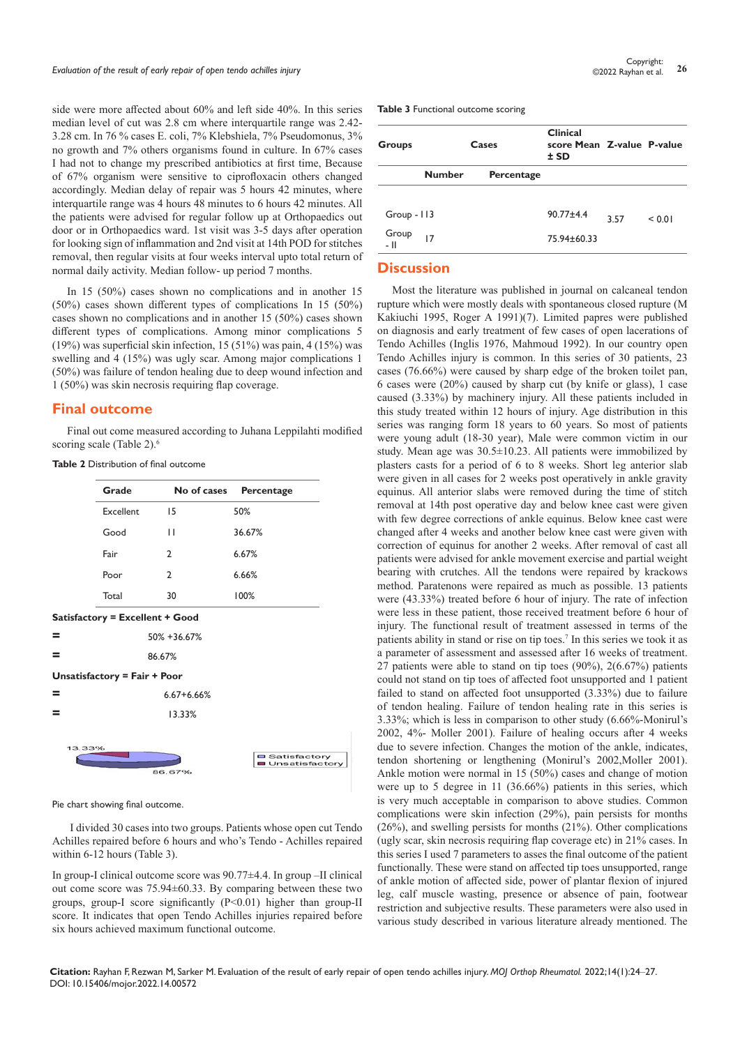side were more affected about 60% and left side 40%. In this series median level of cut was 2.8 cm where interquartile range was 2.42- 3.28 cm. In 76 % cases E. coli, 7% Klebshiela, 7% Pseudomonus, 3% no growth and 7% others organisms found in culture. In 67% cases I had not to change my prescribed antibiotics at first time, Because of 67% organism were sensitive to ciprofloxacin others changed accordingly. Median delay of repair was 5 hours 42 minutes, where interquartile range was 4 hours 48 minutes to 6 hours 42 minutes. All the patients were advised for regular follow up at Orthopaedics out door or in Orthopaedics ward. 1st visit was 3-5 days after operation for looking sign of inflammation and 2nd visit at 14th POD for stitches removal, then regular visits at four weeks interval upto total return of normal daily activity. Median follow- up period 7 months.

In 15 (50%) cases shown no complications and in another 15 (50%) cases shown different types of complications In 15 (50%) cases shown no complications and in another 15 (50%) cases shown different types of complications. Among minor complications 5 (19%) was superficial skin infection, 15 (51%) was pain, 4 (15%) was swelling and 4 (15%) was ugly scar. Among major complications 1 (50%) was failure of tendon healing due to deep wound infection and 1 (50%) was skin necrosis requiring flap coverage.

#### **Final outcome**

Final out come measured according to Juhana Leppilahti modified scoring scale (Table 2).<sup>6</sup>

| <b>Table 2</b> Distribution of final outcome |  |  |  |  |
|----------------------------------------------|--|--|--|--|
|----------------------------------------------|--|--|--|--|

|        | Grade                        | No of cases                     | Percentage            |
|--------|------------------------------|---------------------------------|-----------------------|
|        | <b>Excellent</b>             | 15                              | 50%                   |
|        | Good                         | П                               | 36.67%                |
|        | Fair                         | 2                               | 6.67%                 |
|        | Poor                         | 2                               | 6.66%                 |
|        | Total                        | 30                              | 100%                  |
|        |                              | Satisfactory = Excellent + Good |                       |
| Ξ      |                              | 50% +36.67%                     |                       |
| =      |                              | 86.67%                          |                       |
|        | Unsatisfactory = Fair + Poor |                                 |                       |
| Ξ      |                              | $6.67 + 6.66%$                  |                       |
| =      |                              | 13.33%                          |                       |
| 13.33% |                              |                                 | <b>O</b> Satisfactory |

Pie chart showing final outcome.

I divided 30 cases into two groups. Patients whose open cut Tendo Achilles repaired before 6 hours and who's Tendo - Achilles repaired within 6-12 hours (Table 3).

In group-I clinical outcome score was 90.77±4.4. In group –II clinical out come score was 75.94±60.33. By comparing between these two groups, group-I score significantly (P<0.01) higher than group-II score. It indicates that open Tendo Achilles injuries repaired before six hours achieved maximum functional outcome.

**Table 3** Functional outcome scoring

| Groups        | Cases         |            | <b>Clinical</b><br>score Mean Z-value P-value<br>$±$ SD |      |        |
|---------------|---------------|------------|---------------------------------------------------------|------|--------|
|               | <b>Number</b> | Percentage |                                                         |      |        |
| $Group - 113$ |               |            | $90.77 + 4.4$                                           | 3.57 | < 0.01 |
| Group<br>- II | 17            |            | 75.94±60.33                                             |      |        |

# **Discussion**

Most the literature was published in journal on calcaneal tendon rupture which were mostly deals with spontaneous closed rupture (M Kakiuchi 1995, Roger A 1991)(7). Limited papres were published on diagnosis and early treatment of few cases of open lacerations of Tendo Achilles (Inglis 1976, Mahmoud 1992). In our country open Tendo Achilles injury is common. In this series of 30 patients, 23 cases (76.66%) were caused by sharp edge of the broken toilet pan, 6 cases were (20%) caused by sharp cut (by knife or glass), 1 case caused (3.33%) by machinery injury. All these patients included in this study treated within 12 hours of injury. Age distribution in this series was ranging form 18 years to 60 years. So most of patients were young adult (18-30 year), Male were common victim in our study. Mean age was 30.5±10.23. All patients were immobilized by plasters casts for a period of 6 to 8 weeks. Short leg anterior slab were given in all cases for 2 weeks post operatively in ankle gravity equinus. All anterior slabs were removed during the time of stitch removal at 14th post operative day and below knee cast were given with few degree corrections of ankle equinus. Below knee cast were changed after 4 weeks and another below knee cast were given with correction of equinus for another 2 weeks. After removal of cast all patients were advised for ankle movement exercise and partial weight bearing with crutches. All the tendons were repaired by krackows method. Paratenons were repaired as much as possible. 13 patients were (43.33%) treated before 6 hour of injury. The rate of infection were less in these patient, those received treatment before 6 hour of injury. The functional result of treatment assessed in terms of the patients ability in stand or rise on tip toes.<sup>7</sup> In this series we took it as a parameter of assessment and assessed after 16 weeks of treatment. 27 patients were able to stand on tip toes (90%), 2(6.67%) patients could not stand on tip toes of affected foot unsupported and 1 patient failed to stand on affected foot unsupported (3.33%) due to failure of tendon healing. Failure of tendon healing rate in this series is 3.33%; which is less in comparison to other study (6.66%-Monirul's 2002, 4%- Moller 2001). Failure of healing occurs after 4 weeks due to severe infection. Changes the motion of the ankle, indicates, tendon shortening or lengthening (Monirul's 2002,Moller 2001). Ankle motion were normal in 15 (50%) cases and change of motion were up to 5 degree in 11 (36.66%) patients in this series, which is very much acceptable in comparison to above studies. Common complications were skin infection (29%), pain persists for months (26%), and swelling persists for months (21%). Other complications (ugly scar, skin necrosis requiring flap coverage etc) in 21% cases. In this series I used 7 parameters to asses the final outcome of the patient functionally. These were stand on affected tip toes unsupported, range of ankle motion of affected side, power of plantar flexion of injured leg, calf muscle wasting, presence or absence of pain, footwear restriction and subjective results. These parameters were also used in various study described in various literature already mentioned. The

**Citation:** Rayhan F, Rezwan M, Sarker M. Evaluation of the result of early repair of open tendo achilles injury. *MOJ Orthop Rheumatol.* 2022;14(1):24‒27. DOI: [10.15406/mojor.2022.14.00572](https://doi.org/10.15406/mojor.2022.14.00572)